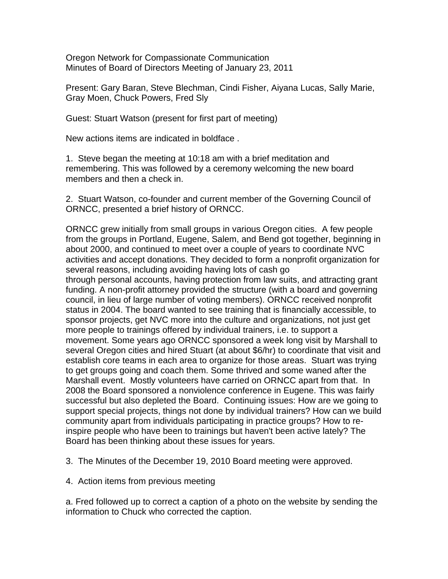Oregon Network for Compassionate Communication Minutes of Board of Directors Meeting of January 23, 2011

Present: Gary Baran, Steve Blechman, Cindi Fisher, Aiyana Lucas, Sally Marie, Gray Moen, Chuck Powers, Fred Sly

Guest: Stuart Watson (present for first part of meeting)

New actions items are indicated in boldface .

1. Steve began the meeting at 10:18 am with a brief meditation and remembering. This was followed by a ceremony welcoming the new board members and then a check in.

2. Stuart Watson, co-founder and current member of the Governing Council of ORNCC, presented a brief history of ORNCC.

ORNCC grew initially from small groups in various Oregon cities. A few people from the groups in Portland, Eugene, Salem, and Bend got together, beginning in about 2000, and continued to meet over a couple of years to coordinate NVC activities and accept donations. They decided to form a nonprofit organization for several reasons, including avoiding having lots of cash go through personal accounts, having protection from law suits, and attracting grant funding. A non-profit attorney provided the structure (with a board and governing council, in lieu of large number of voting members). ORNCC received nonprofit status in 2004. The board wanted to see training that is financially accessible, to sponsor projects, get NVC more into the culture and organizations, not just get more people to trainings offered by individual trainers, i.e. to support a movement. Some years ago ORNCC sponsored a week long visit by Marshall to several Oregon cities and hired Stuart (at about \$6/hr) to coordinate that visit and establish core teams in each area to organize for those areas. Stuart was trying to get groups going and coach them. Some thrived and some waned after the Marshall event. Mostly volunteers have carried on ORNCC apart from that. In 2008 the Board sponsored a nonviolence conference in Eugene. This was fairly successful but also depleted the Board. Continuing issues: How are we going to support special projects, things not done by individual trainers? How can we build community apart from individuals participating in practice groups? How to reinspire people who have been to trainings but haven't been active lately? The Board has been thinking about these issues for years.

3. The Minutes of the December 19, 2010 Board meeting were approved.

4. Action items from previous meeting

a. Fred followed up to correct a caption of a photo on the website by sending the information to Chuck who corrected the caption.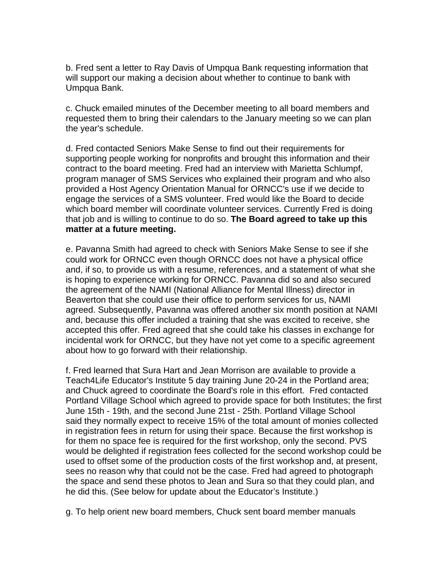b. Fred sent a letter to Ray Davis of Umpqua Bank requesting information that will support our making a decision about whether to continue to bank with Umpqua Bank.

c. Chuck emailed minutes of the December meeting to all board members and requested them to bring their calendars to the January meeting so we can plan the year's schedule.

d. Fred contacted Seniors Make Sense to find out their requirements for supporting people working for nonprofits and brought this information and their contract to the board meeting. Fred had an interview with Marietta Schlumpf, program manager of SMS Services who explained their program and who also provided a Host Agency Orientation Manual for ORNCC's use if we decide to engage the services of a SMS volunteer. Fred would like the Board to decide which board member will coordinate volunteer services. Currently Fred is doing that job and is willing to continue to do so. **The Board agreed to take up this matter at a future meeting.**

e. Pavanna Smith had agreed to check with Seniors Make Sense to see if she could work for ORNCC even though ORNCC does not have a physical office and, if so, to provide us with a resume, references, and a statement of what she is hoping to experience working for ORNCC. Pavanna did so and also secured the agreement of the NAMI (National Alliance for Mental Illness) director in Beaverton that she could use their office to perform services for us, NAMI agreed. Subsequently, Pavanna was offered another six month position at NAMI and, because this offer included a training that she was excited to receive, she accepted this offer. Fred agreed that she could take his classes in exchange for incidental work for ORNCC, but they have not yet come to a specific agreement about how to go forward with their relationship.

f. Fred learned that Sura Hart and Jean Morrison are available to provide a Teach4Life Educator's Institute 5 day training June 20-24 in the Portland area; and Chuck agreed to coordinate the Board's role in this effort. Fred contacted Portland Village School which agreed to provide space for both Institutes; the first June 15th - 19th, and the second June 21st - 25th. Portland Village School said they normally expect to receive 15% of the total amount of monies collected in registration fees in return for using their space. Because the first workshop is for them no space fee is required for the first workshop, only the second. PVS would be delighted if registration fees collected for the second workshop could be used to offset some of the production costs of the first workshop and, at present, sees no reason why that could not be the case. Fred had agreed to photograph the space and send these photos to Jean and Sura so that they could plan, and he did this. (See below for update about the Educator's Institute.)

g. To help orient new board members, Chuck sent board member manuals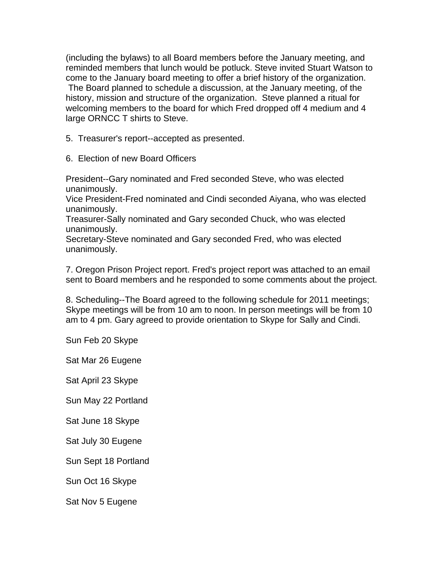(including the bylaws) to all Board members before the January meeting, and reminded members that lunch would be potluck. Steve invited Stuart Watson to come to the January board meeting to offer a brief history of the organization. The Board planned to schedule a discussion, at the January meeting, of the history, mission and structure of the organization. Steve planned a ritual for welcoming members to the board for which Fred dropped off 4 medium and 4 large ORNCC T shirts to Steve.

5. Treasurer's report--accepted as presented.

6. Election of new Board Officers

President--Gary nominated and Fred seconded Steve, who was elected unanimously.

Vice President-Fred nominated and Cindi seconded Aiyana, who was elected unanimously.

Treasurer-Sally nominated and Gary seconded Chuck, who was elected unanimously.

Secretary-Steve nominated and Gary seconded Fred, who was elected unanimously.

7. Oregon Prison Project report. Fred's project report was attached to an email sent to Board members and he responded to some comments about the project.

8. Scheduling--The Board agreed to the following schedule for 2011 meetings; Skype meetings will be from 10 am to noon. In person meetings will be from 10 am to 4 pm. Gary agreed to provide orientation to Skype for Sally and Cindi.

Sun Feb 20 Skype

Sat Mar 26 Eugene

Sat April 23 Skype

Sun May 22 Portland

Sat June 18 Skype

Sat July 30 Eugene

Sun Sept 18 Portland

Sun Oct 16 Skype

Sat Nov 5 Eugene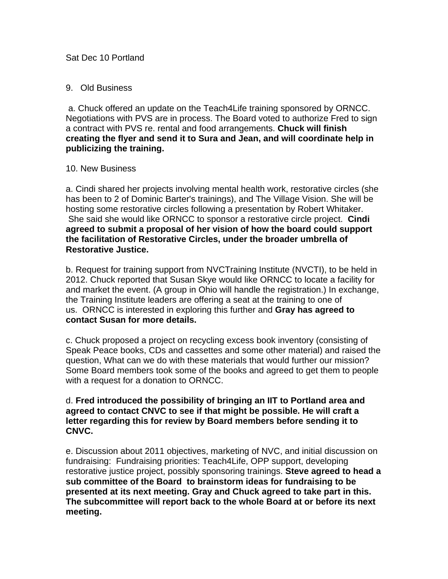## 9. Old Business

 a. Chuck offered an update on the Teach4Life training sponsored by ORNCC. Negotiations with PVS are in process. The Board voted to authorize Fred to sign a contract with PVS re. rental and food arrangements. **Chuck will finish creating the flyer and send it to Sura and Jean, and will coordinate help in publicizing the training.**

## 10. New Business

a. Cindi shared her projects involving mental health work, restorative circles (she has been to 2 of Dominic Barter's trainings), and The Village Vision. She will be hosting some restorative circles following a presentation by Robert Whitaker. She said she would like ORNCC to sponsor a restorative circle project. **Cindi agreed to submit a proposal of her vision of how the board could support the facilitation of Restorative Circles, under the broader umbrella of Restorative Justice.** 

b. Request for training support from NVCTraining Institute (NVCTI), to be held in 2012. Chuck reported that Susan Skye would like ORNCC to locate a facility for and market the event. (A group in Ohio will handle the registration.) In exchange, the Training Institute leaders are offering a seat at the training to one of us. ORNCC is interested in exploring this further and **Gray has agreed to contact Susan for more details.** 

c. Chuck proposed a project on recycling excess book inventory (consisting of Speak Peace books, CDs and cassettes and some other material) and raised the question, What can we do with these materials that would further our mission? Some Board members took some of the books and agreed to get them to people with a request for a donation to ORNCC.

## d. **Fred introduced the possibility of bringing an IIT to Portland area and agreed to contact CNVC to see if that might be possible. He will craft a letter regarding this for review by Board members before sending it to CNVC.**

e. Discussion about 2011 objectives, marketing of NVC, and initial discussion on fundraising: Fundraising priorities: Teach4Life, OPP support, developing restorative justice project, possibly sponsoring trainings. **Steve agreed to head a sub committee of the Board to brainstorm ideas for fundraising to be presented at its next meeting. Gray and Chuck agreed to take part in this. The subcommittee will report back to the whole Board at or before its next meeting.**